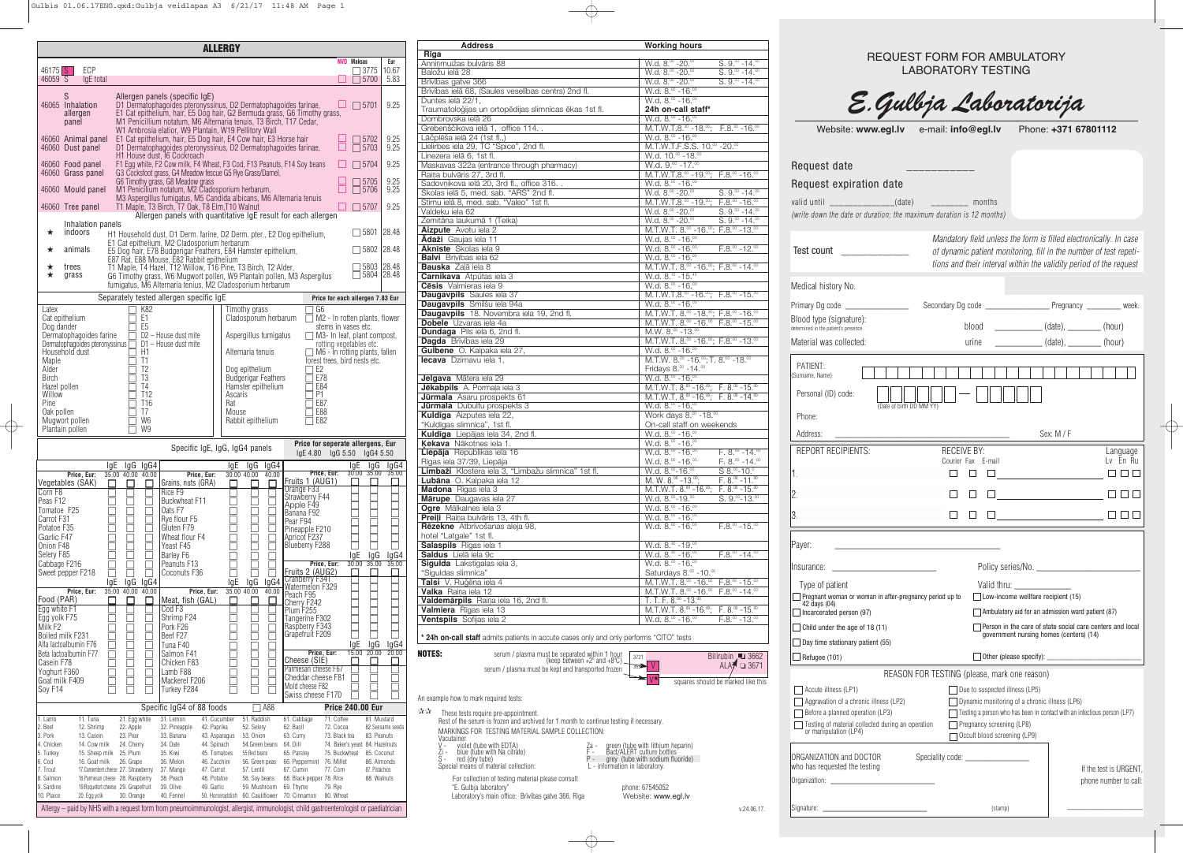|                                                                                                                                                             | <b>Address</b>                                                                                  | <b>Working hours</b>                                                                                                                               |                                                                      |                                              |                                                                                 |
|-------------------------------------------------------------------------------------------------------------------------------------------------------------|-------------------------------------------------------------------------------------------------|----------------------------------------------------------------------------------------------------------------------------------------------------|----------------------------------------------------------------------|----------------------------------------------|---------------------------------------------------------------------------------|
| <b>NVD</b> Maksas<br>Eur                                                                                                                                    | Rīga<br>Anniņmuižas bulvāris 88                                                                 | $W.d. 8.00 - 20.00$<br>$S. 9.00 - 14.00$                                                                                                           |                                                                      | <b>REQUEST FORM FOR AMBULATORY</b>           |                                                                                 |
| $\Box$ 3775   10.67                                                                                                                                         | Baložu ielā 28                                                                                  | W.d. 8.00 - 20.00<br>$S. 9.00 - 14.00$                                                                                                             |                                                                      | <b>LABORATORY TESTING</b>                    |                                                                                 |
| $\Box$ 5700 5.83                                                                                                                                            | Brīvības gatve 366                                                                              | $W.d. 8.00 - 20.00$<br>$S. 9.00 - 14.00$                                                                                                           |                                                                      |                                              |                                                                                 |
|                                                                                                                                                             | Brīvības ielā 68, (Saules veselības centrs) 2nd fl.                                             | $W.d. 8.00 - 16.00$                                                                                                                                |                                                                      |                                              |                                                                                 |
| $\Box$ 5701 9.25                                                                                                                                            | Duntes ielā 22/1,                                                                               | $W.d. 8.00 - 16.00$                                                                                                                                |                                                                      | E. Gulbja Laboratorija                       |                                                                                 |
| farinae,<br>Timothy grass,                                                                                                                                  | Traumatoloğijas un ortopēdijas slimnīcas ēkas 1st fl.                                           | 24h on-call staff*                                                                                                                                 |                                                                      |                                              |                                                                                 |
| Cedar,                                                                                                                                                      | Dombrovska ielā 26                                                                              | $W.d. 8.00 - 16.00$                                                                                                                                |                                                                      |                                              |                                                                                 |
|                                                                                                                                                             | Grebenščikova ielā 1, office 114                                                                | M.T.W.T.8. $30 - 18.00$ ; F.8. $30 - 16.00$                                                                                                        | Website: www.egl.lv e-mail: info@egl.lv                              |                                              | Phone: +371 67801112                                                            |
| $9.25$<br>$9.25$<br>$\begin{array}{c} \begin{array}{ c} \hline \text{ } & \text{ } \\ \hline \text{ } & \text{ } \\ \hline \end{array} \end{array}$<br>hair | Lāčplēša ielā 24 (1st fl.,)                                                                     | W.d. 8.00 - 16.00                                                                                                                                  |                                                                      |                                              |                                                                                 |
| farinae,                                                                                                                                                    | Lielirbes iela 29, TC "Spice", 2nd fl.<br>Linezera ielā 6, 1st fl.                              | M.T.W.T.F.S.S. 10.00 - 20.00<br>W.d. 10.00 - 18.00                                                                                                 |                                                                      |                                              |                                                                                 |
| Soy beans<br>$\begin{array}{ c c c c c c } \hline \quad & \text{5704} & \text{9.25} \\\hline \end{array}$                                                   | Maskavas 322a (entrance through pharmacy)                                                       | W.d. $9.00 - 17.00$                                                                                                                                | Request date                                                         |                                              |                                                                                 |
|                                                                                                                                                             | Raiņa bulvāris 27, 3rd fl.                                                                      | $M.T.W.T.8.°° - 19.°°; F.8.°° - 16.°°$                                                                                                             |                                                                      |                                              |                                                                                 |
| $\begin{array}{ c c c c c }\n\hline\n\text{} & \text{ } 5705 & 9.25 \\ \hline\n\text{} & \text{ } 5706 & 9.25 \\ \hline\n\end{array}$                       | Sadovnikova ielā 20, 3rd fl., office 316. .                                                     | W.d. 8.00 - 16.00                                                                                                                                  | Request expiration date                                              |                                              |                                                                                 |
|                                                                                                                                                             | Skolas ielā 5, med. sab. "ARS" 2nd fl.                                                          | W.d. $8.^{\circ\circ}$ -20. $^{\circ\circ}$<br>$S. 9.00 - 14.00$                                                                                   |                                                                      |                                              |                                                                                 |
| ia tenuis                                                                                                                                                   | Stirnu ielā 8, med. sab. "Valeo" 1st fl.                                                        | M.T.W.T.8. $\degree$ -19. $\degree$ ; F.8. $\degree$ -16. $\degree$                                                                                | valid until _______________(date) _________ months                   |                                              |                                                                                 |
| ach allergen                                                                                                                                                | Valdeķu iela 62                                                                                 | W.d. $8.^{\circ\circ}$ -20. $^{\circ\circ}$<br>$S. 9.^{\circ\circ}$ -14. $^{\circ\circ}$                                                           | (write down the date or duration; the maximum duration is 12 months) |                                              |                                                                                 |
|                                                                                                                                                             | Zemitāna laukumā 1 (Teika)                                                                      | $S. 9.00 - 14.00$<br>$W.d. 8.00 - 20.00$                                                                                                           |                                                                      |                                              |                                                                                 |
| $\Box$ 5801 28.48<br>pithelium,                                                                                                                             | Aizpute Avotu iela 2                                                                            | M.T.W.T. $8.00 - 16.00$ ; F.8. $00 - 13.00$                                                                                                        |                                                                      |                                              |                                                                                 |
|                                                                                                                                                             | Adaži Gaujas iela 11<br><b>Aknīste</b> Skolas iela 9                                            | W.d. 8.00 - 16.00<br>$W.d. 8.00 - 16.00$<br>$F.8.^{\circ\circ}$ -12. $^{\circ\circ}$                                                               |                                                                      |                                              | Mandatory field unless the form is filled electronically. In case               |
| $\Box$ 5802 28.48                                                                                                                                           | <b>Balvi</b> Brīvības iela 62                                                                   | W.d. $8.00 - 16.00$                                                                                                                                | Test count _________________                                         |                                              | of dynamic patient monitoring, fill in the number of test repeti-               |
| $\Box$ 5803 28.48                                                                                                                                           | <b>Bauska</b> Zaļā iela 8                                                                       | M.T.W.T. 8. <sup>00</sup> -16. <sup>00</sup> ; F.8. <sup>00</sup> -14. <sup>00</sup>                                                               |                                                                      |                                              | tions and their interval within the validity period of the request              |
| $\overline{$ 5804 28.48<br>3 Aspergilus                                                                                                                     | Carnikava Atpūtas iela 3                                                                        | W.d. 8. <sup>15</sup> - 15. <sup>45</sup>                                                                                                          |                                                                      |                                              |                                                                                 |
|                                                                                                                                                             | Cēsis Valmieras iela 9                                                                          | $W.d. 8.00 - 16.00$                                                                                                                                | Medical history No.                                                  |                                              |                                                                                 |
| Price for each allergen 7.83 Eur                                                                                                                            | <b>Daugavpils</b> Saules iela 37                                                                | M.T.W.T.8. $\degree$ -16. $\degree$ ; F.8. $\degree$ -15. $\degree$                                                                                |                                                                      |                                              |                                                                                 |
| $\Box$ G6                                                                                                                                                   | Daugavpils Smilšu iela 94a                                                                      | $W.d. 8.00 - 16.00$                                                                                                                                |                                                                      |                                              |                                                                                 |
| $\Box$ M2 - In rotten plants, flower                                                                                                                        | <b>Daugavpils</b> 18. Novembra iela 19, 2nd fl.                                                 | M.T.W.T. $8^{.00}$ -18. <sup>30</sup> ; F.8. <sup>00</sup> -16. <sup>00</sup>                                                                      | Blood type (signature):                                              |                                              |                                                                                 |
| stems in vases etc.                                                                                                                                         | <b>Dobele</b> Uzvaras iela 4a                                                                   | M.T.W.T. 8. <sup>00</sup> - 16. <sup>00</sup> F.8. <sup>00</sup> - 15. <sup>00</sup>                                                               | determined in the patient's presence                                 |                                              | blood _______________(date), _________(hour)                                    |
| □ M3- In leaf, plant compost,                                                                                                                               | <b>Dundaga</b> Pils iela 6, 2nd fl.<br>Dagda Brīvības iela 29                                   | M.W. $8.^{\circ\circ}$ -13. $^{\circ\circ}$                                                                                                        |                                                                      |                                              |                                                                                 |
| rotting vegetables etc.                                                                                                                                     | Gulbene O. Kalpaka iela 27,                                                                     | M.T.W.T. 8.00 - 16.00; F.8.00 - 13.00<br>W.d. $8.00 - 16.00$                                                                                       | Material was collected:                                              |                                              | urine ______________ (date), _________ (hour)                                   |
| $\Box$ M6 - In rotting plants, fallen<br>forest trees, bird nests etc.                                                                                      | lecava Dzirnavu iela 1,                                                                         | M.T.W. $8.^{\circ\circ}$ -16. $^{\circ\circ}$ ; T. $8.^{\circ\circ}$ -18. $^{\circ\circ}$                                                          |                                                                      |                                              |                                                                                 |
| $\Box$ E2                                                                                                                                                   |                                                                                                 | Fridays 8.00 - 14.00                                                                                                                               | PATIENT:                                                             |                                              |                                                                                 |
| $\overline{\Box}$ E78                                                                                                                                       | Jelgava Mātera iela 29                                                                          | $W.d. 8.00 - 16.00$                                                                                                                                | (Surname, Name)                                                      |                                              |                                                                                 |
| $\overline{\Box}$ E84                                                                                                                                       | Jēkabpils A. Pormaļa iela 3                                                                     | M.T.W.T. $8^{.00}$ -16. $^{00}$ ; F. $8^{.00}$ -15. $^{00}$                                                                                        |                                                                      |                                              |                                                                                 |
| $\overline{\Box}$ P1                                                                                                                                        | Jūrmala Asaru prospekts 61                                                                      | M.T.W.T. $8.^{\circ\circ}$ -16. $^{\circ\circ}$ ; F. $8.^{\circ\circ}$ -14. $^{\circ\circ}$                                                        | Personal (ID) code:                                                  |                                              |                                                                                 |
| $\overline{\Box}$ E87<br>$\overline{\Box}$ E88                                                                                                              | <b>Jūrmala</b> Dubultu prospekts 3                                                              | $W.d. 8.00 - 16.00$                                                                                                                                | (Date of birth DD MM YY)                                             |                                              |                                                                                 |
| $\overline{\Box}$ E82                                                                                                                                       | Kuldīga Aizputes iela 22,                                                                       | Work days 8.00 - 18.00                                                                                                                             | Phone:                                                               |                                              |                                                                                 |
|                                                                                                                                                             | "Kuldīgas slimnīca", 1st fl.<br>Kuldīga Liepājas iela 34, 2nd fl.                               | On-call staff on weekends<br>W.d. 8.00 - 16.00                                                                                                     | Address:                                                             |                                              | Sex: M / F                                                                      |
| Price for seperate allergens, Eur                                                                                                                           | Kekava Nākotnes iela 1.                                                                         | W.d. $8.00 - 16.00$                                                                                                                                |                                                                      |                                              |                                                                                 |
| lgE 4.80 lgG 5.50 lgG4 5.50                                                                                                                                 | Liepāja Republikas iela 16                                                                      | $F. 8.00 - 14.00$<br>$W.d. 8.00 - 16.00$                                                                                                           | <b>REPORT RECIPIENTS:</b>                                            | <b>RECEIVE BY:</b>                           | Language                                                                        |
| IgE IgG IgG4                                                                                                                                                | Rīgas iela 37/39, Liepāja                                                                       | W.d. $8.^{\circ\circ}$ -16. $^{\circ\circ}$<br>$F. 8.$ <sup>00</sup> -14. <sup>00</sup>                                                            |                                                                      | Courier Fax E-mail                           | Lv En Ru                                                                        |
| $30.00$ $35.00$ $35.00$<br>Price, Eur:                                                                                                                      | Limbaži Klostera iela 3, "Limbažu slimnīca" 1st fl.                                             | W.d. 8.00-16.00,<br>$S 8.00 - 10.0$                                                                                                                |                                                                      | $\Box$<br>$\Box$                             | $\Box$                                                                          |
| <u>ts 1 (AUG1)</u><br>1ge F33_ , ,<br>П<br>П.<br>$\Box$                                                                                                     | Lubāna O. Kalpaka iela 12                                                                       | M. W. $8.^{\circ\circ}$ -13. $^{\circ\circ}$ ;<br>$F. 8.00 - 11.00$                                                                                |                                                                      |                                              |                                                                                 |
|                                                                                                                                                             | Madona Rīgas iela 3                                                                             | M.T.W.T. $8^{00}$ -16. <sup>00</sup> ; F. $8^{00}$ -15. <sup>00</sup>                                                                              |                                                                      | $\Box$                                       | $\Box$                                                                          |
| wberry F44<br>ple F49                                                                                                                                       | Mārupe Daugavas iela 27                                                                         | W.d. 8.00-19.30,<br>$S. 9.00 - 13.00$                                                                                                              |                                                                      |                                              |                                                                                 |
| ana F92<br>r F94                                                                                                                                            | Ogre Mālkalnes iela 3<br>Preiļi Raiņa bulvāris 13, 4th fl.                                      | W.d. 8.00 - 16.00<br>W.d. $8.^{\circ\circ}$ -16. $^{\circ\circ}$                                                                                   |                                                                      | $\Box$                                       | $\Box$                                                                          |
|                                                                                                                                                             | Rēzekne Atbrīvošanas aleja 98,                                                                  | $F.8.^{\circ\circ}$ -15. $^{\circ\circ}$<br>$W.d. 8.00 - 16.00$                                                                                    |                                                                      |                                              |                                                                                 |
| eapple F210<br>cot F237                                                                                                                                     | hotel "Latgale" 1st fl.                                                                         |                                                                                                                                                    |                                                                      |                                              |                                                                                 |
| berry F288                                                                                                                                                  | <b>Salaspils</b> Rīgas iela 1                                                                   | W.d. 8. <sup>30</sup> - 19.00                                                                                                                      | Payer:                                                               |                                              |                                                                                 |
| $lgE$ $lgG$<br>lgG4                                                                                                                                         | Saldus Lielā iela 9c                                                                            | W.d. $8.^{\circ\circ}$ -16. $^{\circ\circ}$<br>$F.8.^{\circ\circ}$ -14. $^{\circ\circ}$                                                            |                                                                      |                                              |                                                                                 |
| $30.00$ $35.00$<br>35.00<br>Price, Eur:                                                                                                                     | Sigulda Lakstīgalas iela 3,                                                                     | W.d. $8.00 - 16.00$                                                                                                                                |                                                                      |                                              |                                                                                 |
| ts 2 (AUG2)<br>$\Box$<br>П<br>П                                                                                                                             | "Siguldas slimnīca"                                                                             | Saturdays 8.00 -10.00                                                                                                                              |                                                                      |                                              |                                                                                 |
| hberry F341                                                                                                                                                 | Talsi V. Ruğēna iela 4                                                                          | M.T.W.T. 8.00 - 16.00 F.8.00 - 15.00                                                                                                               | Type of patient                                                      |                                              | Valid thru: Valid thru:                                                         |
| ermelon F329<br>ch F <u>9</u> 5                                                                                                                             | Valka Raina iela 12                                                                             | M.T.W.T. 8.00 -16.00 F.8.00 -14.00                                                                                                                 | Pregnant woman or woman in after-pregnancy period up to              |                                              | $\Box$ Low-income wellfare recipient (15)                                       |
| rry F242<br>n F255_                                                                                                                                         | Valdemārpils Raiņa iela 16, 2nd fl.<br>Valmiera Rīgas iela 13                                   | T. T. F. $8.^{\circ\circ}$ -13. $^{\circ\circ}$<br>M.T.W.T. $8^{00} - 16^{00}$ ; F. $8^{00} - 15^{00}$                                             | 42 days (04)                                                         |                                              |                                                                                 |
| gerine F302                                                                                                                                                 | Ventspils Sofijas iela 2                                                                        | W.d. $8.^{\circ\circ}$ -16. $^{\circ\circ}$<br>$F.8.^{\circ\circ}$ -13. $^{\circ\circ}$                                                            | Incarcerated person (97)                                             |                                              | Ambulatory aid for an admission ward patient (87)                               |
| pberry F343                                                                                                                                                 |                                                                                                 |                                                                                                                                                    | $\Box$ Child under the age of 18 (11)                                |                                              | Person in the care of state social care centers and local                       |
| efruit F209                                                                                                                                                 | * 24h on-call staff admits patients in accute cases only and only performs "CITO" tests         |                                                                                                                                                    |                                                                      |                                              | government nursing homes (centers) (14)                                         |
| IgG<br>lgG4<br>lgE<br>20.00                                                                                                                                 |                                                                                                 |                                                                                                                                                    | $\Box$ Day time stationary patient (55)                              |                                              |                                                                                 |
| $15.00$ $20.00$<br>Price, Eur:<br>ese (SIE)<br>$\Box$<br>П                                                                                                  | <b>NOTES:</b><br>serum / plasma must be separated within 1 hour<br>(keep between +2° and +8°C). | Bilirubin 3662<br>3721                                                                                                                             | $\Box$ Refugee (101)                                                 |                                              | $\Box$ Other (please specify): $\Box$                                           |
| nesan cheese F67                                                                                                                                            | serum / plasma must be kept and transported frozen                                              | ALA $\overline{A}$ $\Box$ 3671<br>$369 - V$                                                                                                        |                                                                      |                                              |                                                                                 |
| ddar cheese F81                                                                                                                                             |                                                                                                 | $\rightarrow \forall$<br>squares should be marked like this                                                                                        |                                                                      | REASON FOR TESTING (please, mark one reason) |                                                                                 |
| d cheese F82<br>$\mathsf H$                                                                                                                                 |                                                                                                 |                                                                                                                                                    | Accute illness (LP1)                                                 | Due to suspected illness (LP5)               |                                                                                 |
| ss cheese F170                                                                                                                                              | An example how to mark required tests:                                                          |                                                                                                                                                    | $\Box$ Aggravation of a chronic illness (LP2)                        |                                              | Dynamic monitoring of a chronic illness (LP6)                                   |
| <b>Price 240.00 Eur</b>                                                                                                                                     | なな<br>These tests require pre-appointment.                                                      |                                                                                                                                                    | $\Box$ Before a planned operation (LP3)                              |                                              | $\Box$ Testing a person who has been in contact with an infectious person (LP7) |
| 71. Coffee<br>81. Mustard<br>abbage                                                                                                                         | Rest of the serum is frozen and archived for 1 month to continue testing if necessary.          |                                                                                                                                                    | Testing of material collected during an operation                    | Pregnancy screening (LP8)                    |                                                                                 |
| 82. Seesame seeds<br>72. Cocoa<br>asil                                                                                                                      | MARKINGS FOR TESTING MATERIAL SAMPLE COLLECTION:                                                |                                                                                                                                                    | or manipulation (LP4)                                                |                                              |                                                                                 |
| 73. Black tea<br>83. Peanuts<br>urry<br>74. Baker's yeast 84. Hazelnuts<br>ill.                                                                             | Vacutainer                                                                                      |                                                                                                                                                    |                                                                      | Occult blood screening (LP9)                 |                                                                                 |
| 75. Buckwheat<br>85. Coconut<br>arsley                                                                                                                      | $V -$ violet (tube with EDTA)<br>Zi - blue (tube with Na citrate)                               |                                                                                                                                                    |                                                                      |                                              |                                                                                 |
| eppermint 76. Millet<br>86. Almonds                                                                                                                         | $\overline{S}$ - red (dry tube)                                                                 | Za - green (tube with lithium heparin)<br>F - Bact/ALERT culture bottles<br>P - grey (tube with sodium fluoride)<br>L - information in laboratory. | IORGANIZATION and DOCTOR                                             | Speciality code: ___________________         |                                                                                 |
| 77. Corn<br>87. Pistachios<br>umin                                                                                                                          | Special means of material collection:                                                           |                                                                                                                                                    | who has requested the testing                                        |                                              | If the test is URGEN                                                            |
| lack pepper 78. Rice<br>88. Walnuts                                                                                                                         | For collection of testing material please consult<br>"E. Gulbia laboratory"                     | phone: 67545052                                                                                                                                    |                                                                      |                                              | phone number to ca                                                              |
| nyme 79. Rye                                                                                                                                                |                                                                                                 |                                                                                                                                                    |                                                                      |                                              |                                                                                 |

| <b>ALLERGY</b>                                                                                                                                                                                                                                                                                                                                                                                                                                                                                                                                                                                                                                                                                                                                                                                                                                                                                                                                                                                                                                                                                                                                 |                                                                                                                                                                                   |                                |  |  |  |
|------------------------------------------------------------------------------------------------------------------------------------------------------------------------------------------------------------------------------------------------------------------------------------------------------------------------------------------------------------------------------------------------------------------------------------------------------------------------------------------------------------------------------------------------------------------------------------------------------------------------------------------------------------------------------------------------------------------------------------------------------------------------------------------------------------------------------------------------------------------------------------------------------------------------------------------------------------------------------------------------------------------------------------------------------------------------------------------------------------------------------------------------|-----------------------------------------------------------------------------------------------------------------------------------------------------------------------------------|--------------------------------|--|--|--|
| $46175$ S<br>ECP<br>$46059$ S<br>IgE total                                                                                                                                                                                                                                                                                                                                                                                                                                                                                                                                                                                                                                                                                                                                                                                                                                                                                                                                                                                                                                                                                                     | <b>NVD</b> Maksas<br>3775<br>5700                                                                                                                                                 | Eur<br>10.67<br>5.83           |  |  |  |
| S<br>Allergen panels (specific IgE)<br>46065 Inhalation<br>D1 Dermatophagoides pteronyssinus, D2 Dermatophagoides farinae,<br>E1 Cat epithelium, hair, E5 Dog hair, G2 Bermuda grass, G6 Timothy grass,<br>allergen<br>M1 Penicillium notatum, M6 Alternaria tenuis, T3 Birch, T17 Cedar,<br>panel                                                                                                                                                                                                                                                                                                                                                                                                                                                                                                                                                                                                                                                                                                                                                                                                                                             | $\Box$ 5701                                                                                                                                                                       | 9.25                           |  |  |  |
| W1 Ambrosia elatior, W9 Plantain, W19 Pellitory Wall<br>E1 Cat epithelium, hair, E5 Dog hair, E4 Cow hair, E3 Horse hair<br>46060 Animal panel<br>D1 Dermatophagoides pteronyssinus, D2 Dermatophagoides farinae,<br>46060 Dust panel<br>H1 House dust, 16 Cockroach                                                                                                                                                                                                                                                                                                                                                                                                                                                                                                                                                                                                                                                                                                                                                                                                                                                                           | 5702<br>5703                                                                                                                                                                      | 9.25<br>9.25                   |  |  |  |
| F1 Egg white, F2 Cow milk, F4 Wheat, F3 Cod, F13 Peanuts, F14 Soy beans<br>46060 Food panel<br>46060 Grass panel<br>G3 Cocksfoot grass, G4 Meadow fescue G5 Rye Grass/Darnel,                                                                                                                                                                                                                                                                                                                                                                                                                                                                                                                                                                                                                                                                                                                                                                                                                                                                                                                                                                  | 5704                                                                                                                                                                              | 9.25                           |  |  |  |
| G6 Timothy grass, G8 Meadow grass<br>M1 Penicilium notatum, M2 Cladosporium herbarum,<br>46060 Mould panel<br>M3 Aspergillus fumigatus, M5 Candida albicans, M6 Alternaria tenuis                                                                                                                                                                                                                                                                                                                                                                                                                                                                                                                                                                                                                                                                                                                                                                                                                                                                                                                                                              | 5705<br>5706                                                                                                                                                                      | 9.25<br>9.25                   |  |  |  |
| T1 Maple, T3 Birch, T7 Oak, T8 Elm, T10 Walnut<br>46060 Tree panel<br>Allergen panels with quantitative IgE result for each allergen                                                                                                                                                                                                                                                                                                                                                                                                                                                                                                                                                                                                                                                                                                                                                                                                                                                                                                                                                                                                           | 5707                                                                                                                                                                              | 9.25                           |  |  |  |
| Inhalation panels<br>indoors<br>★<br>H1 Household dust, D1 Derm. farine, D2 Derm. pter., E2 Dog epithelium,<br>E1 Cat epithelium, M2 Cladosporium herbarum<br>animals<br>★<br>E5 Dog hair, E78 Budgerigar Feathers, E84 Hamster epithelium,<br>E87 Rat, E88 Mouse, E82 Rabbit epithelium                                                                                                                                                                                                                                                                                                                                                                                                                                                                                                                                                                                                                                                                                                                                                                                                                                                       | 5801<br>5802                                                                                                                                                                      | 28.48<br>28.48                 |  |  |  |
| trees<br>T1 Maple, T4 Hazel, T12 Willow, T16 Pine, T3 Birch, T2 Alder,<br>★<br>★<br>G6 Timothy grass, W6 Mugwort pollen, W9 Plantain pollen, M3 Aspergilus<br>grass<br>fumigatus, M6 Alternaria tenius, M2 Cladosporium herbarum                                                                                                                                                                                                                                                                                                                                                                                                                                                                                                                                                                                                                                                                                                                                                                                                                                                                                                               | 5803<br>5804                                                                                                                                                                      | 28.48<br> 28.48                |  |  |  |
| Separately tested allergen specific IgE                                                                                                                                                                                                                                                                                                                                                                                                                                                                                                                                                                                                                                                                                                                                                                                                                                                                                                                                                                                                                                                                                                        | Price for each allergen 7.83 Eur                                                                                                                                                  |                                |  |  |  |
| K82<br>Timothy grass<br>G <sub>6</sub><br>Latex<br>Cat epithelium<br>Е1<br>Cladosporum herbarum<br>E <sub>5</sub><br>Dog dander<br>Dermatophagoides farine<br>D2 – House dust mite<br>Aspergillus fumigatus<br>Dermatophagoides pteronyssinus<br>D1 – House dust mite<br>Household dust<br>Н1<br>Alternaria tenuis<br>Maple<br>Τ1<br>Alder<br>T <sub>2</sub><br>E <sub>2</sub><br>Dog epithelium<br>E78<br>T3<br><b>Budgerigar Feathers</b><br><b>Birch</b><br>T <sub>4</sub><br>Hamster epithelium<br>E84<br>Hazel pollen<br>Willow<br>T <sub>12</sub><br>Ascaris<br>P1<br>Pine<br>T <sub>16</sub><br>E87<br>Rat<br>T7<br>E88<br>Oak pollen<br>Mouse<br>W <sub>6</sub><br>Rabbit epithelium<br>E82<br>Mugwort pollen<br>Plantain pollen<br>W <sub>9</sub>                                                                                                                                                                                                                                                                                                                                                                                     | M2 - In rotten plants, flower<br>stems in vases etc.<br>M3- In leaf, plant compost,<br>rotting vegetables etc.<br>M6 - In rotting plants, fallen<br>forest trees, bird nests etc. |                                |  |  |  |
| Specific IgE, IgG, IgG4 panels<br>$lgE$ 4.80                                                                                                                                                                                                                                                                                                                                                                                                                                                                                                                                                                                                                                                                                                                                                                                                                                                                                                                                                                                                                                                                                                   | Price for seperate allergens, Eur<br>lgG 5.50 lgG4 5.50                                                                                                                           |                                |  |  |  |
| IgG IgG4<br>lgE<br>lgE<br>IgG<br>lgG4<br>Price, Eur:<br>35.00 40.00 40.00<br>Price, Eur:<br>Price, Eur:<br>30.00 40.00<br>40.00<br>Fruits 1 (AUG1)<br>Vegetables (SAK)<br>Grains, nuts (GRA)<br>Orange F33<br>Corn F8<br>Rice F9<br>Strawberry F44<br>Peas F12<br><b>Buckwheat F11</b><br>Apple F49<br>Tomatoe F25<br>Oats F7<br>Banana F92<br>Carrot F31<br>Rye flour F5<br>Pear F94<br>Potatoe F35<br>Gluten F79<br>Pineapple F210<br>Garlic F47<br>Wheat flour F4<br>Apricot F237<br><b>Blueberry F288</b><br>Yeast F45<br>Onion F48<br>Selery F85<br>Barley F6                                                                                                                                                                                                                                                                                                                                                                                                                                                                                                                                                                             | lgE<br>IgG<br>$30.00$ $35.00$                                                                                                                                                     | lgG4<br>35.00                  |  |  |  |
| Price, Eur:<br>Cabbage F216<br>Peanuts F13<br>Fruits 2 (AUG2)<br>Coconuts F36<br>Sweet pepper F218<br><b>Cranberry F341</b><br>lgG<br>$lg\overline{G}4$<br>IgG<br>IgG4<br>IgE<br>lgE<br>Watermelon F329<br>35.00 40.00<br>Price, Eur:<br>40.00<br>Price, Eur:<br>35.00 40.00 40.00<br>Peach F95<br>Food (PAR)<br>Meat, fish (GAL)<br>Cherry F242<br>Egg white F1<br>Cod F <sub>3</sub><br>Plum F <sub>255</sub><br>Shrimp F24<br>Egg yolk F75<br>Tangerine F302<br>Milk F <sub>2</sub><br>Raspberry F343<br>Pork F26<br>Grapefruit F209<br>Boiled milk F231<br>Beef F27<br>Tuna F40<br>Alfa lactoalbumin F76<br>Price, Eur:<br>Beta lactoalbumin F77<br>Salmon F41<br>Cheese (SIE)<br>Chicken F83<br>Casein F78<br>Parmesan cheese F67<br>Yoghurt F360<br>Lamb F88<br>Cheddar cheese F81<br>Goat milk F409<br>Mackerel F206<br>Mold cheese F82<br>Soy F14<br>Turkey F284<br>Swiss cheese F170                                                                                                                                                                                                                                                  | lgE<br>IgG<br>30.00<br>35.00<br>lgE<br>IgG<br>15.00<br>20.00                                                                                                                      | IgG4<br>35.00<br>lgG4<br>20.00 |  |  |  |
| A88<br>Specific IgG4 of 88 foods                                                                                                                                                                                                                                                                                                                                                                                                                                                                                                                                                                                                                                                                                                                                                                                                                                                                                                                                                                                                                                                                                                               | <b>Price 240.00 Eur</b>                                                                                                                                                           |                                |  |  |  |
| 21. Egg white<br>41. Cucumber<br>51. Raddish<br>61. Cabbage<br>11. Tuna<br>31. Lemon<br>1. Lamb<br>2. Beef<br>12. Shrimp<br>22. Apple<br>42. Paprika<br>52. Selery<br>62. Basil<br>72. Cocoa<br>32. Pineapple<br>3. Pork<br>13. Casein<br>23. Pear<br>53. Onion<br>63. Curry<br>33. Banana<br>43. Asparagus<br>14. Cow milk<br>24. Cherry<br>44. Spinach<br>64. Dill<br>4. Chicken<br>34. Date<br>54.Green beans<br>15. Sheep milk 25. Plum<br>35. Kiwi<br>65. Parsley<br>5. Turkey<br>45. Tomatoes<br>55.Red beans<br>6. Cod<br>16. Goat milk<br>26. Grape<br>46. Zucchini<br>66. Peppermint<br>76. Millet<br>36. Melon<br>56. Green peas<br>7. Trout<br>17. Camembert cheese 27. Strawberry<br>47. Carrot<br>57. Lentil<br>67. Cumin<br>77. Corn<br>37. Mango<br>8. Salmon<br>18. Parmesan cheese 28. Raspberry<br>48. Potatoe<br>68. Black pepper 78. Rice<br>38. Peach<br>58. Soy beans<br>9. Sardine<br>49. Garlic<br>69. Thyme<br>19. Roquefort cheese 29. Grapefruit<br>39. Olive<br>59. Mushroom<br>79. Rye<br>10. Plaice<br>40. Fennel<br>50. Horseraddish 60. Cauliflower<br>70. Cinnamon<br>80. Wheat<br>20. Egg yolk<br>30. Orange | 71. Coffee<br>81. Mustard<br>73. Black tea<br>83. Peanuts<br>74. Baker's yeast 84. Hazelnuts<br>75. Buckwheat<br>85. Coconut<br>86. Almonds<br>87. Pistachios<br>88. Walnuts      | 82. Seesame seeds              |  |  |  |

|                                                                                                               |                                                                                                                   |                                                                                      | <b>REQUEST FORM FOR AMBULATORY</b>           |                                                                                 |
|---------------------------------------------------------------------------------------------------------------|-------------------------------------------------------------------------------------------------------------------|--------------------------------------------------------------------------------------|----------------------------------------------|---------------------------------------------------------------------------------|
| muižas bulvāris 88<br>žu ielā 28                                                                              | W.d. $8.^{\circ\circ}$ -20. $^{\circ\circ}$<br>$S. 9.00 - 14.00$<br>$W.d. 8.00 - 20.00$<br>$S. 900 - 1400$        |                                                                                      | <b>LABORATORY TESTING</b>                    |                                                                                 |
| oas gatve 366                                                                                                 | W.d. $8.00 - 20.00$<br>$S. 9.00 - 14.00$                                                                          |                                                                                      |                                              |                                                                                 |
| bas ielā 68, (Saules veselības centrs) 2nd fl.                                                                | W.d. $8.00 - 16.00$                                                                                               |                                                                                      |                                              |                                                                                 |
| es ielā 22/1,                                                                                                 | W.d. $8.^{\circ\circ}$ -16. $^{\circ\circ}$                                                                       |                                                                                      | E.Gulbja Laboratorija                        |                                                                                 |
| matoloģijas un ortopēdijas slimnīcas ēkas 1st fl.                                                             | 24h on-call staff*                                                                                                |                                                                                      |                                              |                                                                                 |
| brovska ielā 26                                                                                               | W.d. $8.00 - 16.00$<br>M.T.W.T.8. $30 - 18.00$ ; F.8. $30 - 16.00$                                                |                                                                                      |                                              |                                                                                 |
| enščikova ielā 1, office 114<br>lēša ielā 24 (1st fl.,)                                                       | W.d. $8.^{\circ\circ}$ -16. $^{\circ\circ}$                                                                       | Website: www.egl.lv e-mail: info@egl.lv                                              |                                              | Phone: +371 67801112                                                            |
| bes iela 29, TC "Spice", 2nd fl.                                                                              | M.T.W.T.F.S.S. 10.00 - 20.00                                                                                      |                                                                                      |                                              |                                                                                 |
| era ielā 6, 1st fl.                                                                                           | W.d. 10.00 - 18.00                                                                                                |                                                                                      |                                              |                                                                                 |
| cavas 322a (entrance through pharmacy)                                                                        | $W.d. 9.00 - 17.00$                                                                                               | Request date                                                                         |                                              |                                                                                 |
| a bulvāris 27, 3rd fl.                                                                                        | M.T.W.T.8. $\frac{00}{10}$ -19. $\frac{00}{10}$ ; F.8. $\frac{00}{10}$ -16. $\frac{00}{10}$                       |                                                                                      |                                              |                                                                                 |
| vnikova ielā 20, 3rd fl., office 316                                                                          | W.d. $8.^{\circ\circ}$ -16. $^{\circ\circ}$                                                                       | Request expiration date                                                              |                                              |                                                                                 |
| as ielā 5, med. sab. "ARS" 2nd fl.                                                                            | W.d. $8.^{\circ\circ}$ -20. $^{\circ\circ}$<br>$S. 9.^{\circ\circ}$ -14. $^{\circ\circ}$                          |                                                                                      |                                              |                                                                                 |
| u ielā 8, med. sab. "Valeo" 1st fl.<br>eķu iela 62                                                            | M.T.W.T.8. $\degree$ -19. $\degree$ ; F.8. $\degree$ -16. $\degree$<br>W.d. $8.00 - 20.00$<br>$S. 9.00 - 14.00$   | valid until _______________(date) _________ months                                   |                                              |                                                                                 |
| tāna laukumā 1 (Teika)                                                                                        | $W.d. 8.00 - 20.00$<br>$S. 9.00 - 14.00$                                                                          | (write down the date or duration; the maximum duration is 12 months)                 |                                              |                                                                                 |
| <b>ute</b> Avotu iela 2                                                                                       | M.T.W.T. 8. <sup>00</sup> -16. <sup>00</sup> ; F.8. <sup>00</sup> -13. <sup>00</sup>                              |                                                                                      |                                              |                                                                                 |
| <b>zi</b> Gaujas iela 11                                                                                      | W.d. $8.^{\circ\circ}$ -16. $^{\circ\circ}$                                                                       |                                                                                      |                                              | Mandatory field unless the form is filled electronically. In case               |
| ste Skolas iela 9                                                                                             | $F.8.^{\circ\circ}$ -12. $^{\circ\circ}$<br>W.d. $8.^{\circ\circ}$ -16. $^{\circ\circ}$ .                         | Test count _______________                                                           |                                              | of dynamic patient monitoring, fill in the number of test repeti-               |
| <b>i</b> Brīvības iela 62                                                                                     | W.d. $8.00 - 16.00$                                                                                               |                                                                                      |                                              | tions and their interval within the validity period of the request              |
| ska Zaļā iela 8                                                                                               | M.T.W.T. $8^{00}$ -16. <sup>00</sup> ; F.8. <sup>00</sup> -14. <sup>00</sup>                                      |                                                                                      |                                              |                                                                                 |
| <b>iikava</b> Atpūtas iela 3                                                                                  | W.d. 8. <sup>15</sup> - 15. <sup>45</sup><br>W.d. $8.^{\circ\circ}$ -16. $^{\circ\circ}$                          |                                                                                      |                                              |                                                                                 |
| s Valmieras iela 9<br><b>gavpils</b> Saules iela 37                                                           | M.T.W.T.8. $\degree$ -16. $\degree$ ; F.8. $\degree$ -15. $\degree$                                               | Medical history No.                                                                  |                                              |                                                                                 |
| gavpils Smilšu iela 94a                                                                                       | $W.d. 8.00 - 16.00$                                                                                               |                                                                                      |                                              |                                                                                 |
| gavpils 18. Novembra iela 19, 2nd fl.                                                                         | M.T.W.T. 8.00 - 18.30; F.8.00 - 16.00                                                                             |                                                                                      |                                              |                                                                                 |
| ele Uzvaras iela 4a                                                                                           | M.T.W.T. 8.00 -16.00 F.8.00 -15.00                                                                                | Blood type (signature):                                                              |                                              |                                                                                 |
| daga Pils iela 6, 2nd fl.                                                                                     | M.W. $8.^{\circ\circ}$ -13. $^{\circ\circ}$                                                                       | determined in the patient's presence                                                 |                                              |                                                                                 |
| <b>da</b> Brīvības iela 29                                                                                    | M.T.W.T. $8.00 - 16.00$ ; F.8.00 - 13.00                                                                          | Material was collected:                                                              |                                              | $urine$ _______________ (date), _________ (hour)                                |
| <b>ene</b> O. Kalpaka iela 27,                                                                                | W.d. $8.^{\circ\circ}$ -16. $^{\circ\circ}$                                                                       |                                                                                      |                                              |                                                                                 |
| va Dzirnavu iela 1,                                                                                           | M.T.W. $8.^{\circ\circ}$ -16. $^{\circ\circ}$ ; T. $8.^{\circ\circ}$ -18. $^{\circ\circ}$<br>Fridays 8.00 - 14.00 | PATIENT:                                                                             |                                              |                                                                                 |
| ava Mātera iela 29                                                                                            | $W.d. 8.00 - 16.00$                                                                                               | (Surname, Name)                                                                      |                                              |                                                                                 |
| <b>bpils</b> A. Pormala iela 3                                                                                | M.T.W.T. $8^{00} - 16^{00}$ ; F. $8^{00} - 15^{00}$                                                               |                                                                                      |                                              |                                                                                 |
| <b>nala</b> Asaru prospekts 61                                                                                | M.T.W.T. $8^{.00}$ -16. <sup>00</sup> ; F. $8^{.00}$ -14. <sup>00</sup>                                           | Personal (ID) code:                                                                  |                                              |                                                                                 |
| <b>nala</b> Dubultu prospekts 3                                                                               | $W.d. 8.00 - 16.00$                                                                                               | (Date of birth DD MM YY)                                                             |                                              |                                                                                 |
| l <b>īga</b> Aizputes iela 22,                                                                                | Work days 8.00 - 18.00                                                                                            | Phone:                                                                               |                                              |                                                                                 |
| līgas slimnīca", 1st fl.                                                                                      | On-call staff on weekends                                                                                         |                                                                                      |                                              |                                                                                 |
| līga Liepājas iela 34, 2nd fl.                                                                                | W.d. 8.00 - 16.00                                                                                                 | Address:                                                                             |                                              | Sex: $M / F$                                                                    |
| ava Nākotnes iela 1.<br>āja Republikas iela 16                                                                | W.d. $8.^{\circ\circ}$ -16. $^{\circ\circ}$<br>W.d. $8.00 - 16.00$<br>$F. 8^{00} - 14^{00}$                       | <b>REPORT RECIPIENTS:</b>                                                            | <b>RECEIVE BY:</b>                           | Language                                                                        |
| s iela 37/39, Liepāja                                                                                         | W.d. 8.00 - 16.00,<br>$F. 8.^{\circ\circ}$ -14. $^{\circ\circ}$                                                   |                                                                                      | Courier Fax E-mail                           | $Lv$ En Ru                                                                      |
| <b>paži</b> Klostera iela 3, "Limbažu slimnīca" 1st fl.                                                       | W.d. 8.00-16.00,<br>$S 8.00 - 10.0$                                                                               |                                                                                      | 000                                          | $\Box$                                                                          |
| <b>ina</b> O. Kalpaka iela 12                                                                                 | M. W. $8.^{\circ\circ}$ -13. $^{\circ\circ}$ ;<br>$F. 8^{.00} - 11^{.00}$                                         |                                                                                      |                                              |                                                                                 |
| ona Rīgas iela 3                                                                                              | M.T.W.T. $8^{00} - 16^{00}$ ; F. $8^{00} - 15^{00}$                                                               |                                                                                      | $\Box$                                       | $\Box$                                                                          |
| <b>upe</b> Daugayas iela 27                                                                                   | W.d. 8.00-19.30,<br>$S. 9.00 - 13.00$                                                                             |                                                                                      |                                              |                                                                                 |
| Mālkalnes iela 3                                                                                              | W.d. 8.00 - 16.00                                                                                                 | 3.                                                                                   | $\Box$                                       | $\Box$                                                                          |
| <i>i</i> Raiņa bulvāris 13, 4th fl.<br><b>kne</b> Atbrīvošanas aleja 98,                                      | W.d. $8.^{\circ\circ}$ -16. $^{\circ\circ}$<br>$F.8.^{\circ\circ}$ -15. $^{\circ\circ}$                           |                                                                                      |                                              |                                                                                 |
| "Latgale" 1st fl.                                                                                             | W.d. $8.^{\circ\circ}$ -16. $^{\circ\circ}$                                                                       |                                                                                      |                                              |                                                                                 |
| spils Rīgas iela 1                                                                                            | W.d. $8.^{\circ}$ -19. $^{\circ}$                                                                                 | Payer:<br>the control of the control of the control of the control of the control of |                                              |                                                                                 |
| us Lielā iela 9c                                                                                              | W.d. $8.^{30}$ -16. $^{00}$<br>$F.8.^{\circ\circ}$ -14. $^{\circ\circ}$                                           |                                                                                      |                                              |                                                                                 |
| Ida Lakstīgalas iela 3,                                                                                       | W.d. 8.00 - 16.00                                                                                                 |                                                                                      |                                              |                                                                                 |
| <b>Ildas slimnīca</b> "                                                                                       | Saturdays 8.00 -10.00                                                                                             |                                                                                      |                                              |                                                                                 |
| i V. Ruğēna iela 4                                                                                            | M.T.W.T. 8.00 - 16.00 F.8.00 - 15.00                                                                              | Type of patient                                                                      |                                              | Valid thru: Valid thru:                                                         |
| a Raiņa iela 12                                                                                               | M.T.W.T. 8.00 - 16.00 F.8.00 - 14.00                                                                              | $\Box$ Pregnant woman or woman in after-pregnancy period up to                       |                                              | $\Box$ Low-income wellfare recipient (15)                                       |
| emārpils Raiņa iela 16, 2nd fl.                                                                               | T. T. F. $8^{.00}$ -13.00<br>M.T.W.T. $8^{00}$ -16. $^{00}$ ; F. $8^{00}$ -15. $^{00}$                            | 42 days (04)                                                                         |                                              |                                                                                 |
| <b>niera</b> Rīgas iela 13<br>spils Sofijas iela 2                                                            | $W.d. 8.00 - 16.00$<br>$F.8.^{\circ\circ}$ -13. $^{\circ\circ}$                                                   | $\Box$ Incarcerated person (97)                                                      |                                              | $\Box$ Ambulatory aid for an admission ward patient (87)                        |
|                                                                                                               |                                                                                                                   | $\Box$ Child under the age of 18 (11)                                                |                                              | Person in the care of state social care centers and local                       |
| on-call staff admits patients in accute cases only and only performs "CITO" tests                             |                                                                                                                   |                                                                                      |                                              | government nursing homes (centers) (14)                                         |
|                                                                                                               |                                                                                                                   | $\Box$ Day time stationary patient (55)                                              |                                              |                                                                                 |
| serum / plasma must be separated within 1 hour<br>_ (keep between +2° and +8°C)                               | Bilirubin 3662<br>3721                                                                                            | $\Box$ Refugee (101)                                                                 |                                              | Other (please specify):                                                         |
| serum / plasma must be kept and transported frozen                                                            | ALA $\overline{A}$ $\Box$ 3671<br>$769 - V$                                                                       |                                                                                      |                                              |                                                                                 |
|                                                                                                               | $\blacktriangleright$<br>squares should be marked like this                                                       |                                                                                      | REASON FOR TESTING (please, mark one reason) |                                                                                 |
|                                                                                                               |                                                                                                                   | Accute illness (LP1)                                                                 | Due to suspected illness (LP5)               |                                                                                 |
| ople how to mark required tests:                                                                              |                                                                                                                   | $\Box$ Aggravation of a chronic illness (LP2)                                        |                                              | Dynamic monitoring of a chronic illness (LP6)                                   |
| These tests require pre-appointment.                                                                          |                                                                                                                   | $\Box$ Before a planned operation (LP3)                                              |                                              | $\Box$ Testing a person who has been in contact with an infectious person (LP7) |
| Rest of the serum is frozen and archived for 1 month to continue testing if necessary.                        |                                                                                                                   | $\Box$ Testing of material collected during an operation                             | Pregnancy screening (LP8)                    |                                                                                 |
| MARKINGS FOR TESTING MATERIAL SAMPLE COLLECTION:                                                              |                                                                                                                   | or manipulation (LP4)                                                                |                                              |                                                                                 |
| Vacutainer<br>V - violí                                                                                       |                                                                                                                   |                                                                                      | Occult blood screening (LP9)                 |                                                                                 |
| wolet (tube with EDTA)<br>blue (tube with Na citrate)                                                         | Za - green (tube with lithium heparin)<br>F - Bact/ALERT culture bottles<br>P - grey (tube with sodium fluoride)  |                                                                                      |                                              |                                                                                 |
| $\overline{S}$ -<br>red (dry tube)<br>L - information in laboratory.<br>Special means of material collection: |                                                                                                                   | ORGANIZATION and DOCTOR                                                              | Speciality code: ___________________         |                                                                                 |
|                                                                                                               |                                                                                                                   | who has requested the testing                                                        |                                              | If the test is URGENT.                                                          |
| For collection of testing material please consult<br>"E. Gulbja laboratory"                                   | phone: 67545052                                                                                                   |                                                                                      |                                              | phone number to call:                                                           |
| Laboratory's main office: Brīvības gatve 366, Rīga                                                            | Website: www.egl.lv                                                                                               |                                                                                      |                                              |                                                                                 |
|                                                                                                               | v.24.06.17.                                                                                                       |                                                                                      | (stamp)                                      |                                                                                 |
|                                                                                                               |                                                                                                                   |                                                                                      |                                              |                                                                                 |